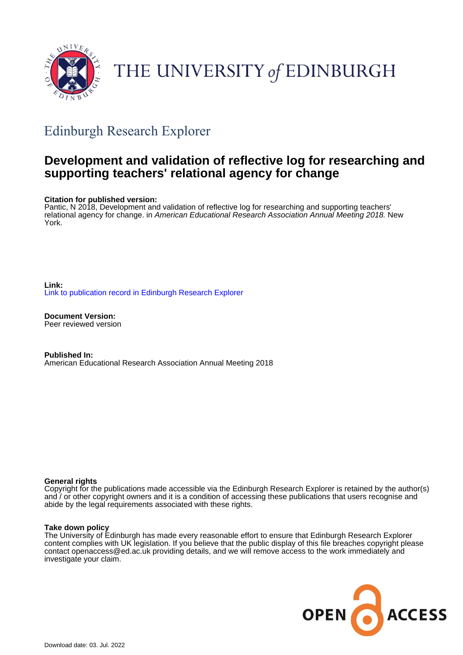

# THE UNIVERSITY of EDINBURGH

# Edinburgh Research Explorer

## **Development and validation of reflective log for researching and supporting teachers' relational agency for change**

#### **Citation for published version:**

Pantic, N 2018, Development and validation of reflective log for researching and supporting teachers' relational agency for change. in American Educational Research Association Annual Meeting 2018. New York.

**Link:** [Link to publication record in Edinburgh Research Explorer](https://www.research.ed.ac.uk/en/publications/87e8bd8e-79ff-48f6-a93d-a525ff029c1c)

**Document Version:** Peer reviewed version

**Published In:** American Educational Research Association Annual Meeting 2018

#### **General rights**

Copyright for the publications made accessible via the Edinburgh Research Explorer is retained by the author(s) and / or other copyright owners and it is a condition of accessing these publications that users recognise and abide by the legal requirements associated with these rights.

#### **Take down policy**

The University of Edinburgh has made every reasonable effort to ensure that Edinburgh Research Explorer content complies with UK legislation. If you believe that the public display of this file breaches copyright please contact openaccess@ed.ac.uk providing details, and we will remove access to the work immediately and investigate your claim.

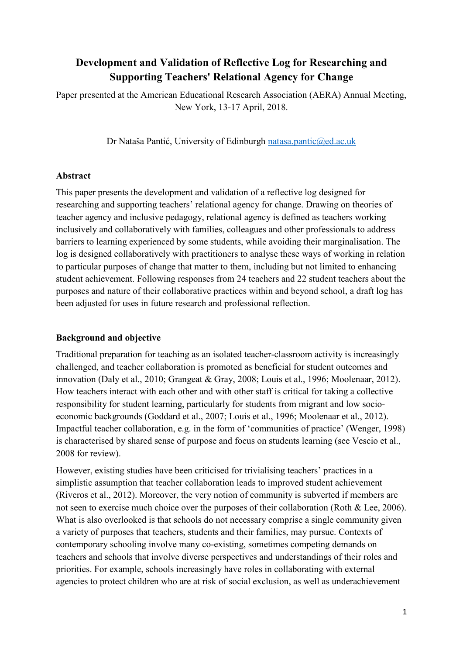### **Development and Validation of Reflective Log for Researching and Supporting Teachers' Relational Agency for Change**

Paper presented at the American Educational Research Association (AERA) Annual Meeting, New York, 13-17 April, 2018.

Dr Nataša Pantić, University of Edinburgh [natasa.pantic@ed.ac.uk](mailto:natasa.pantic@ed.ac.uk)

#### **Abstract**

This paper presents the development and validation of a reflective log designed for researching and supporting teachers' relational agency for change. Drawing on theories of teacher agency and inclusive pedagogy, relational agency is defined as teachers working inclusively and collaboratively with families, colleagues and other professionals to address barriers to learning experienced by some students, while avoiding their marginalisation. The log is designed collaboratively with practitioners to analyse these ways of working in relation to particular purposes of change that matter to them, including but not limited to enhancing student achievement. Following responses from 24 teachers and 22 student teachers about the purposes and nature of their collaborative practices within and beyond school, a draft log has been adjusted for uses in future research and professional reflection.

#### **Background and objective**

Traditional preparation for teaching as an isolated teacher-classroom activity is increasingly challenged, and teacher collaboration is promoted as beneficial for student outcomes and innovation (Daly et al., 2010; Grangeat & Gray, 2008; Louis et al., 1996; Moolenaar, 2012). How teachers interact with each other and with other staff is critical for taking a collective responsibility for student learning, particularly for students from migrant and low socioeconomic backgrounds (Goddard et al., 2007; Louis et al., 1996; Moolenaar et al., 2012). Impactful teacher collaboration, e.g. in the form of 'communities of practice' (Wenger, 1998) is characterised by shared sense of purpose and focus on students learning (see Vescio et al., 2008 for review).

However, existing studies have been criticised for trivialising teachers' practices in a simplistic assumption that teacher collaboration leads to improved student achievement (Riveros et al., 2012). Moreover, the very notion of community is subverted if members are not seen to exercise much choice over the purposes of their collaboration (Roth & Lee, 2006). What is also overlooked is that schools do not necessary comprise a single community given a variety of purposes that teachers, students and their families, may pursue. Contexts of contemporary schooling involve many co-existing, sometimes competing demands on teachers and schools that involve diverse perspectives and understandings of their roles and priorities. For example, schools increasingly have roles in collaborating with external agencies to protect children who are at risk of social exclusion, as well as underachievement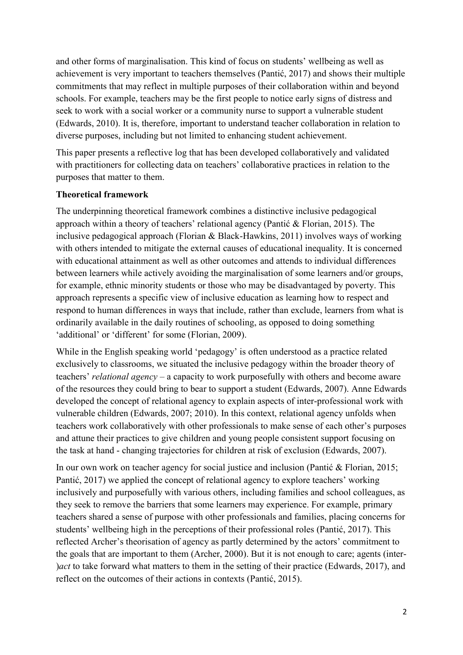and other forms of marginalisation. This kind of focus on students' wellbeing as well as achievement is very important to teachers themselves (Pantić, 2017) and shows their multiple commitments that may reflect in multiple purposes of their collaboration within and beyond schools. For example, teachers may be the first people to notice early signs of distress and seek to work with a social worker or a community nurse to support a vulnerable student (Edwards, 2010). It is, therefore, important to understand teacher collaboration in relation to diverse purposes, including but not limited to enhancing student achievement.

This paper presents a reflective log that has been developed collaboratively and validated with practitioners for collecting data on teachers' collaborative practices in relation to the purposes that matter to them.

#### **Theoretical framework**

The underpinning theoretical framework combines a distinctive inclusive pedagogical approach within a theory of teachers' relational agency (Pantić & Florian, 2015). The inclusive pedagogical approach (Florian & Black-Hawkins, 2011) involves ways of working with others intended to mitigate the external causes of educational inequality. It is concerned with educational attainment as well as other outcomes and attends to individual differences between learners while actively avoiding the marginalisation of some learners and/or groups, for example, ethnic minority students or those who may be disadvantaged by poverty. This approach represents a specific view of inclusive education as learning how to respect and respond to human differences in ways that include, rather than exclude, learners from what is ordinarily available in the daily routines of schooling, as opposed to doing something 'additional' or 'different' for some (Florian, 2009).

While in the English speaking world 'pedagogy' is often understood as a practice related exclusively to classrooms, we situated the inclusive pedagogy within the broader theory of teachers' *relational agency* – a capacity to work purposefully with others and become aware of the resources they could bring to bear to support a student (Edwards, 2007). Anne Edwards developed the concept of relational agency to explain aspects of inter-professional work with vulnerable children (Edwards, 2007; 2010). In this context, relational agency unfolds when teachers work collaboratively with other professionals to make sense of each other's purposes and attune their practices to give children and young people consistent support focusing on the task at hand - changing trajectories for children at risk of exclusion (Edwards, 2007).

In our own work on teacher agency for social justice and inclusion (Pantić & Florian, 2015; Pantić, 2017) we applied the concept of relational agency to explore teachers' working inclusively and purposefully with various others, including families and school colleagues, as they seek to remove the barriers that some learners may experience. For example, primary teachers shared a sense of purpose with other professionals and families, placing concerns for students' wellbeing high in the perceptions of their professional roles (Pantić, 2017). This reflected Archer's theorisation of agency as partly determined by the actors' commitment to the goals that are important to them (Archer, 2000). But it is not enough to care; agents (inter- )*act* to take forward what matters to them in the setting of their practice (Edwards, 2017), and reflect on the outcomes of their actions in contexts (Pantić, 2015).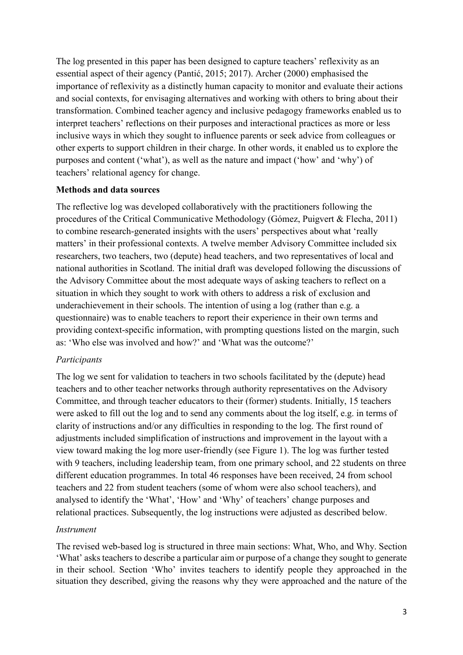The log presented in this paper has been designed to capture teachers' reflexivity as an essential aspect of their agency (Pantić, 2015; 2017). Archer (2000) emphasised the importance of reflexivity as a distinctly human capacity to monitor and evaluate their actions and social contexts, for envisaging alternatives and working with others to bring about their transformation. Combined teacher agency and inclusive pedagogy frameworks enabled us to interpret teachers' reflections on their purposes and interactional practices as more or less inclusive ways in which they sought to influence parents or seek advice from colleagues or other experts to support children in their charge. In other words, it enabled us to explore the purposes and content ('what'), as well as the nature and impact ('how' and 'why') of teachers' relational agency for change.

#### **Methods and data sources**

The reflective log was developed collaboratively with the practitioners following the procedures of the Critical Communicative Methodology (Gómez, Puigvert & Flecha, 2011) to combine research-generated insights with the users' perspectives about what 'really matters' in their professional contexts. A twelve member Advisory Committee included six researchers, two teachers, two (depute) head teachers, and two representatives of local and national authorities in Scotland. The initial draft was developed following the discussions of the Advisory Committee about the most adequate ways of asking teachers to reflect on a situation in which they sought to work with others to address a risk of exclusion and underachievement in their schools. The intention of using a log (rather than e.g. a questionnaire) was to enable teachers to report their experience in their own terms and providing context-specific information, with prompting questions listed on the margin, such as: 'Who else was involved and how?' and 'What was the outcome?'

#### *Participants*

The log we sent for validation to teachers in two schools facilitated by the (depute) head teachers and to other teacher networks through authority representatives on the Advisory Committee, and through teacher educators to their (former) students. Initially, 15 teachers were asked to fill out the log and to send any comments about the log itself, e.g. in terms of clarity of instructions and/or any difficulties in responding to the log. The first round of adjustments included simplification of instructions and improvement in the layout with a view toward making the log more user-friendly (see Figure 1). The log was further tested with 9 teachers, including leadership team, from one primary school, and 22 students on three different education programmes. In total 46 responses have been received, 24 from school teachers and 22 from student teachers (some of whom were also school teachers), and analysed to identify the 'What', 'How' and 'Why' of teachers' change purposes and relational practices. Subsequently, the log instructions were adjusted as described below.

#### *Instrument*

The revised web-based log is structured in three main sections: What, Who, and Why. Section 'What' asks teachers to describe a particular aim or purpose of a change they sought to generate in their school. Section 'Who' invites teachers to identify people they approached in the situation they described, giving the reasons why they were approached and the nature of the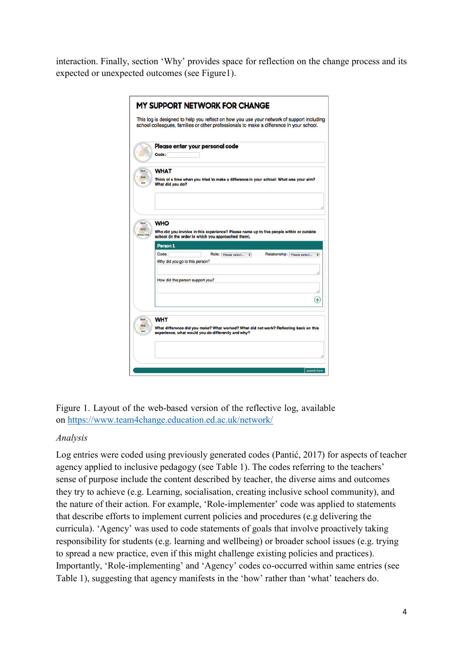interaction. Finally, section 'Why' provides space for reflection on the change process and its expected or unexpected outcomes (see Figure1).

|                   | Please enter your personal code<br>Code:                                                                                  |
|-------------------|---------------------------------------------------------------------------------------------------------------------------|
|                   | <b>WHAT</b><br>Think of a time when you tried to make a difference in your school: What was your aim?<br>What did you do? |
|                   |                                                                                                                           |
| <b>REFLECTION</b> | <b>WHO</b><br>Who did you involve in this experience? Please name up to five people within or outside                     |
|                   | school (in the order in which you approached them).<br>Person 1                                                           |
|                   | Code:<br>Relationship: Please select<br>Role: Please select<br>$\bullet$<br>Why did you go to this person?                |
|                   |                                                                                                                           |
|                   | How did this person support you?                                                                                          |
|                   |                                                                                                                           |
|                   | <b>WHY</b>                                                                                                                |

Figure 1. Layout of the web-based version of the reflective log, available on <https://www.team4change.education.ed.ac.uk/network/>

#### *Analysis*

Log entries were coded using previously generated codes (Pantić, 2017) for aspects of teacher agency applied to inclusive pedagogy (see Table 1). The codes referring to the teachers' sense of purpose include the content described by teacher, the diverse aims and outcomes they try to achieve (e.g. Learning, socialisation, creating inclusive school community), and the nature of their action. For example, 'Role-implementer' code was applied to statements that describe efforts to implement current policies and procedures (e.g delivering the curricula). 'Agency' was used to code statements of goals that involve proactively taking responsibility for students (e.g. learning and wellbeing) or broader school issues (e.g. trying to spread a new practice, even if this might challenge existing policies and practices). Importantly, 'Role-implementing' and 'Agency' codes co-occurred within same entries (see Table 1), suggesting that agency manifests in the 'how' rather than 'what' teachers do.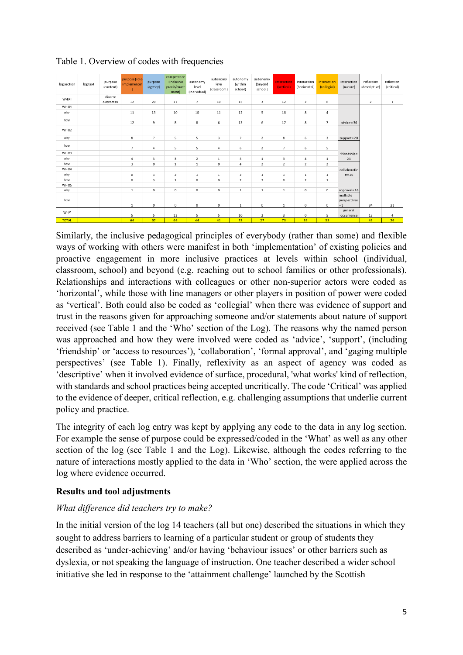| log section      | log text | purpose<br>(content) | purpose (role-<br>implementer<br>$\mathcal{L}$ | purpose<br>(agency) | competence<br><i>(inclusive</i><br>praxis/enact<br>ment) | autonomy<br>level<br>(individual) | autonomy<br>level<br>(classroom) | autonomy<br>(within<br>school) | autonomy<br>(beyond<br>school) | interaction<br>(vertical) | interaction<br>(horizontal) | interaction<br>(collegial) | interaction<br>(nature)  | reflection<br>(descriptive) | reflection<br>(critical) |
|------------------|----------|----------------------|------------------------------------------------|---------------------|----------------------------------------------------------|-----------------------------------|----------------------------------|--------------------------------|--------------------------------|---------------------------|-----------------------------|----------------------------|--------------------------|-----------------------------|--------------------------|
| WHAT             |          | diverse<br>outcomes  | 12                                             | 20                  | 17                                                       | $7\overline{ }$                   | 10                               | 15                             | 3                              | 12                        | 2                           | 6                          |                          | 2                           | $1\,$                    |
| WHO1             |          |                      |                                                |                     |                                                          |                                   |                                  |                                |                                |                           |                             |                            |                          |                             |                          |
| why              |          |                      | $1\,1$                                         | 13                  | 10                                                       | 10                                | $11\,$                           | 12                             | 5                              | $18\,$                    | 8                           | 4                          |                          |                             |                          |
| how              |          |                      | 12                                             | 9                   | 8                                                        | 8                                 | 6                                | 13                             | 6                              | 17                        | 8                           | $\overline{7}$             | $advice = 36$            |                             |                          |
| WHO <sub>2</sub> |          |                      |                                                |                     |                                                          |                                   |                                  |                                |                                |                           |                             |                            |                          |                             |                          |
| why              |          |                      | 8                                              | $\overline{7}$      | 5                                                        | 5                                 | 3                                | $\overline{7}$                 | $\overline{2}$                 | 8                         | 6                           | 3                          | $support = 28$           |                             |                          |
| how              |          |                      | $\overline{7}$                                 | 4                   | 5                                                        | 5                                 | 4                                | 6                              | 2                              | $\overline{7}$            | 6                           | 5                          |                          |                             |                          |
| WHO3             |          |                      |                                                |                     |                                                          |                                   |                                  |                                |                                |                           |                             |                            | friendship=              |                             |                          |
| why              |          |                      | 4                                              | 3                   | 3                                                        | $\overline{2}$                    | $\mathbf{1}$                     | 5                              | $\mathbf{1}$                   | 3                         | 4                           | $\mathbf{1}$               | 21                       |                             |                          |
| how              |          |                      | 3                                              | $\mathbf 0$         | $1\,$                                                    | $\,1\,$                           | $\mathbf 0$                      | $\ddot{4}$                     | $\overline{2}$                 | $\overline{2}$            | $\mathbf 2$                 | $\overline{2}$             |                          |                             |                          |
| WHO4             |          |                      |                                                |                     |                                                          |                                   |                                  |                                |                                |                           |                             |                            | collaboratio             |                             |                          |
| why              |          |                      | $\circ$                                        | 3                   | $\overline{2}$                                           | $\,1\,$                           | $\mathbf{1}$                     | $\overline{2}$                 | $\,1\,$                        | $\mathbf{1}$              | $\,1\,$                     | $\,1\,$                    | $n = 16$                 |                             |                          |
| how              |          |                      | $\bf 0$                                        | 3                   | 1                                                        | $\mathbb O$                       | $\circ$                          | $\overline{2}$                 | $\overline{2}$                 | $\mathbf 0$               | $\overline{2}$              | $\mathbbm{1}$              |                          |                             |                          |
| WHO5             |          |                      |                                                |                     |                                                          |                                   |                                  |                                |                                |                           |                             |                            |                          |                             |                          |
| why              |          |                      | $1\,$                                          | $\mathbf 0$         | $\mathbf 0$                                              | $\mathbf 0$                       | $\mathbf 0$                      | $\,1\,$                        | $1\,$                          | $\,1\,$                   | $\mathbb O$                 | $\mathbf 0$                | approval=16              |                             |                          |
| how              |          |                      |                                                |                     |                                                          |                                   |                                  |                                |                                |                           |                             |                            | multiple<br>perspectives |                             |                          |
|                  |          |                      | $1\,$                                          | $\circ$             | $\mathbf 0$                                              | $\,0\,$                           | $\mathbf 0$                      | $1\,$                          | $\mathbb O$                    | $\mathbf{1}$              | $\circ$                     | $\mathbf{0}$               | $= 1$                    | 34                          | 21                       |
| WHY              |          |                      |                                                |                     |                                                          |                                   |                                  |                                |                                |                           |                             |                            | general                  |                             |                          |
|                  |          |                      | 5                                              | 5                   | 12                                                       | 5                                 | 5                                | 10                             | $\overline{2}$                 | з                         | $\circ$                     | 5                          | occurrence               | 13                          | 4                        |
| <b>TOTAL</b>     |          |                      | 64                                             | 67                  | 64                                                       | 44                                | 41                               | 78                             | 27                             | 73                        | 39                          | 35                         |                          | 49                          | 26                       |

Table 1. Overview of codes with frequencies

Similarly, the inclusive pedagogical principles of everybody (rather than some) and flexible ways of working with others were manifest in both 'implementation' of existing policies and proactive engagement in more inclusive practices at levels within school (individual, classroom, school) and beyond (e.g. reaching out to school families or other professionals). Relationships and interactions with colleagues or other non-superior actors were coded as 'horizontal', while those with line managers or other players in position of power were coded as 'vertical'. Both could also be coded as 'collegial' when there was evidence of support and trust in the reasons given for approaching someone and/or statements about nature of support received (see Table 1 and the 'Who' section of the Log). The reasons why the named person was approached and how they were involved were coded as 'advice', 'support', (including 'friendship' or 'access to resources'), 'collaboration', 'formal approval', and 'gaging multiple perspectives' (see Table 1). Finally, reflexivity as an aspect of agency was coded as 'descriptive' when it involved evidence of surface, procedural, 'what works' kind of reflection, with standards and school practices being accepted uncritically. The code 'Critical' was applied to the evidence of deeper, critical reflection, e.g. challenging assumptions that underlie current policy and practice.

The integrity of each log entry was kept by applying any code to the data in any log section. For example the sense of purpose could be expressed/coded in the 'What' as well as any other section of the log (see Table 1 and the Log). Likewise, although the codes referring to the nature of interactions mostly applied to the data in 'Who' section, the were applied across the log where evidence occurred.

#### **Results and tool adjustments**

#### *What difference did teachers try to make?*

In the initial version of the log 14 teachers (all but one) described the situations in which they sought to address barriers to learning of a particular student or group of students they described as 'under-achieving' and/or having 'behaviour issues' or other barriers such as dyslexia, or not speaking the language of instruction. One teacher described a wider school initiative she led in response to the 'attainment challenge' launched by the Scottish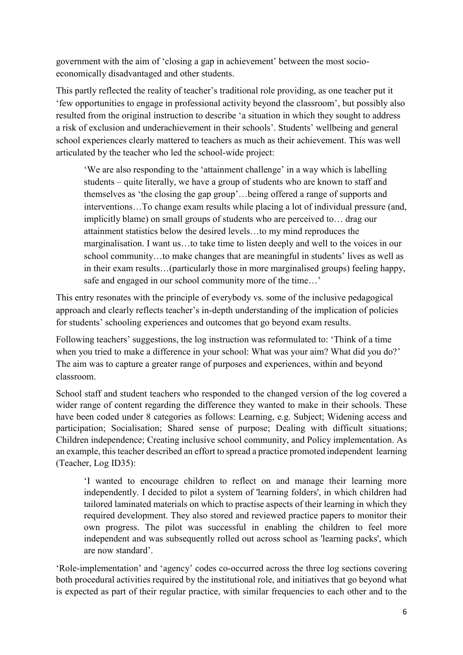government with the aim of 'closing a gap in achievement' between the most socioeconomically disadvantaged and other students.

This partly reflected the reality of teacher's traditional role providing, as one teacher put it 'few opportunities to engage in professional activity beyond the classroom', but possibly also resulted from the original instruction to describe 'a situation in which they sought to address a risk of exclusion and underachievement in their schools'. Students' wellbeing and general school experiences clearly mattered to teachers as much as their achievement. This was well articulated by the teacher who led the school-wide project:

'We are also responding to the 'attainment challenge' in a way which is labelling students – quite literally, we have a group of students who are known to staff and themselves as 'the closing the gap group'…being offered a range of supports and interventions…To change exam results while placing a lot of individual pressure (and, implicitly blame) on small groups of students who are perceived to… drag our attainment statistics below the desired levels…to my mind reproduces the marginalisation. I want us…to take time to listen deeply and well to the voices in our school community…to make changes that are meaningful in students' lives as well as in their exam results…(particularly those in more marginalised groups) feeling happy, safe and engaged in our school community more of the time…'

This entry resonates with the principle of everybody vs. some of the inclusive pedagogical approach and clearly reflects teacher's in-depth understanding of the implication of policies for students' schooling experiences and outcomes that go beyond exam results.

Following teachers' suggestions, the log instruction was reformulated to: 'Think of a time when you tried to make a difference in your school: What was your aim? What did you do?' The aim was to capture a greater range of purposes and experiences, within and beyond classroom.

School staff and student teachers who responded to the changed version of the log covered a wider range of content regarding the difference they wanted to make in their schools. These have been coded under 8 categories as follows: Learning, e.g. Subject; Widening access and participation; Socialisation; Shared sense of purpose; Dealing with difficult situations; Children independence; Creating inclusive school community, and Policy implementation. As an example, this teacher described an effort to spread a practice promoted independent learning (Teacher, Log ID35):

'I wanted to encourage children to reflect on and manage their learning more independently. I decided to pilot a system of 'learning folders', in which children had tailored laminated materials on which to practise aspects of their learning in which they required development. They also stored and reviewed practice papers to monitor their own progress. The pilot was successful in enabling the children to feel more independent and was subsequently rolled out across school as 'learning packs', which are now standard'.

'Role-implementation' and 'agency' codes co-occurred across the three log sections covering both procedural activities required by the institutional role, and initiatives that go beyond what is expected as part of their regular practice, with similar frequencies to each other and to the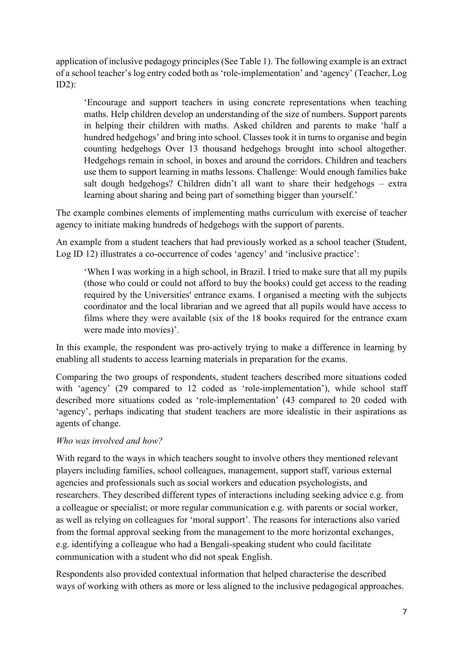application of inclusive pedagogy principles (See Table 1). The following example is an extract of a school teacher's log entry coded both as 'role-implementation' and 'agency' (Teacher, Log ID2):

'Encourage and support teachers in using concrete representations when teaching maths. Help children develop an understanding of the size of numbers. Support parents in helping their children with maths. Asked children and parents to make 'half a hundred hedgehogs' and bring into school. Classes took it in turns to organise and begin counting hedgehogs Over 13 thousand hedgehogs brought into school altogether. Hedgehogs remain in school, in boxes and around the corridors. Children and teachers use them to support learning in maths lessons. Challenge: Would enough families bake salt dough hedgehogs? Children didn't all want to share their hedgehogs – extra learning about sharing and being part of something bigger than yourself.'

The example combines elements of implementing maths curriculum with exercise of teacher agency to initiate making hundreds of hedgehogs with the support of parents.

An example from a student teachers that had previously worked as a school teacher (Student, Log ID 12) illustrates a co-occurrence of codes 'agency' and 'inclusive practice':

'When I was working in a high school, in Brazil. I tried to make sure that all my pupils (those who could or could not afford to buy the books) could get access to the reading required by the Universities' entrance exams. I organised a meeting with the subjects coordinator and the local librarian and we agreed that all pupils would have access to films where they were available (six of the 18 books required for the entrance exam were made into movies)'.

In this example, the respondent was pro-actively trying to make a difference in learning by enabling all students to access learning materials in preparation for the exams.

Comparing the two groups of respondents, student teachers described more situations coded with 'agency' (29 compared to 12 coded as 'role-implementation'), while school staff described more situations coded as 'role-implementation' (43 compared to 20 coded with 'agency', perhaps indicating that student teachers are more idealistic in their aspirations as agents of change.

#### *Who was involved and how?*

With regard to the ways in which teachers sought to involve others they mentioned relevant players including families, school colleagues, management, support staff, various external agencies and professionals such as social workers and education psychologists, and researchers. They described different types of interactions including seeking advice e.g. from a colleague or specialist; or more regular communication e.g. with parents or social worker, as well as relying on colleagues for 'moral support'. The reasons for interactions also varied from the formal approval seeking from the management to the more horizontal exchanges, e.g. identifying a colleague who had a Bengali-speaking student who could facilitate communication with a student who did not speak English.

Respondents also provided contextual information that helped characterise the described ways of working with others as more or less aligned to the inclusive pedagogical approaches.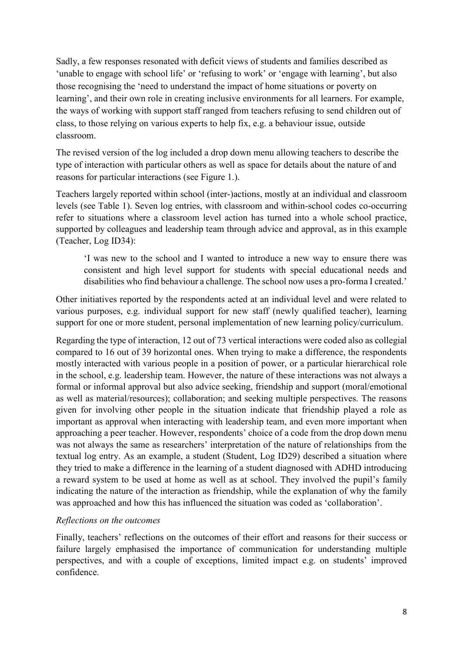Sadly, a few responses resonated with deficit views of students and families described as 'unable to engage with school life' or 'refusing to work' or 'engage with learning', but also those recognising the 'need to understand the impact of home situations or poverty on learning', and their own role in creating inclusive environments for all learners. For example, the ways of working with support staff ranged from teachers refusing to send children out of class, to those relying on various experts to help fix, e.g. a behaviour issue, outside classroom.

The revised version of the log included a drop down menu allowing teachers to describe the type of interaction with particular others as well as space for details about the nature of and reasons for particular interactions (see Figure 1.).

Teachers largely reported within school (inter-)actions, mostly at an individual and classroom levels (see Table 1). Seven log entries, with classroom and within-school codes co-occurring refer to situations where a classroom level action has turned into a whole school practice, supported by colleagues and leadership team through advice and approval, as in this example (Teacher, Log ID34):

'I was new to the school and I wanted to introduce a new way to ensure there was consistent and high level support for students with special educational needs and disabilities who find behaviour a challenge. The school now uses a pro-forma I created.'

Other initiatives reported by the respondents acted at an individual level and were related to various purposes, e.g. individual support for new staff (newly qualified teacher), learning support for one or more student, personal implementation of new learning policy/curriculum.

Regarding the type of interaction, 12 out of 73 vertical interactions were coded also as collegial compared to 16 out of 39 horizontal ones. When trying to make a difference, the respondents mostly interacted with various people in a position of power, or a particular hierarchical role in the school, e.g. leadership team. However, the nature of these interactions was not always a formal or informal approval but also advice seeking, friendship and support (moral/emotional as well as material/resources); collaboration; and seeking multiple perspectives. The reasons given for involving other people in the situation indicate that friendship played a role as important as approval when interacting with leadership team, and even more important when approaching a peer teacher. However, respondents' choice of a code from the drop down menu was not always the same as researchers' interpretation of the nature of relationships from the textual log entry. As an example, a student (Student, Log ID29) described a situation where they tried to make a difference in the learning of a student diagnosed with ADHD introducing a reward system to be used at home as well as at school. They involved the pupil's family indicating the nature of the interaction as friendship, while the explanation of why the family was approached and how this has influenced the situation was coded as 'collaboration'.

#### *Reflections on the outcomes*

Finally, teachers' reflections on the outcomes of their effort and reasons for their success or failure largely emphasised the importance of communication for understanding multiple perspectives, and with a couple of exceptions, limited impact e.g. on students' improved confidence.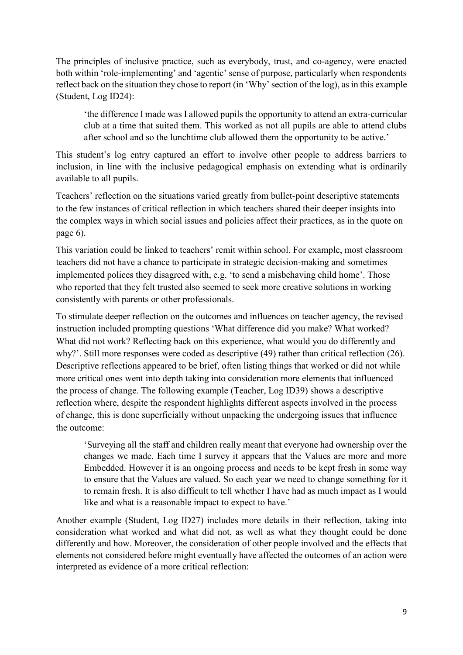The principles of inclusive practice, such as everybody, trust, and co-agency, were enacted both within 'role-implementing' and 'agentic' sense of purpose, particularly when respondents reflect back on the situation they chose to report (in 'Why' section of the log), as in this example (Student, Log ID24):

'the difference I made was I allowed pupils the opportunity to attend an extra-curricular club at a time that suited them. This worked as not all pupils are able to attend clubs after school and so the lunchtime club allowed them the opportunity to be active.'

This student's log entry captured an effort to involve other people to address barriers to inclusion, in line with the inclusive pedagogical emphasis on extending what is ordinarily available to all pupils.

Teachers' reflection on the situations varied greatly from bullet-point descriptive statements to the few instances of critical reflection in which teachers shared their deeper insights into the complex ways in which social issues and policies affect their practices, as in the quote on page 6).

This variation could be linked to teachers' remit within school. For example, most classroom teachers did not have a chance to participate in strategic decision-making and sometimes implemented polices they disagreed with, e.g. 'to send a misbehaving child home'. Those who reported that they felt trusted also seemed to seek more creative solutions in working consistently with parents or other professionals.

To stimulate deeper reflection on the outcomes and influences on teacher agency, the revised instruction included prompting questions 'What difference did you make? What worked? What did not work? Reflecting back on this experience, what would you do differently and why?'. Still more responses were coded as descriptive (49) rather than critical reflection (26). Descriptive reflections appeared to be brief, often listing things that worked or did not while more critical ones went into depth taking into consideration more elements that influenced the process of change. The following example (Teacher, Log ID39) shows a descriptive reflection where, despite the respondent highlights different aspects involved in the process of change, this is done superficially without unpacking the undergoing issues that influence the outcome:

'Surveying all the staff and children really meant that everyone had ownership over the changes we made. Each time I survey it appears that the Values are more and more Embedded. However it is an ongoing process and needs to be kept fresh in some way to ensure that the Values are valued. So each year we need to change something for it to remain fresh. It is also difficult to tell whether I have had as much impact as I would like and what is a reasonable impact to expect to have.'

Another example (Student, Log ID27) includes more details in their reflection, taking into consideration what worked and what did not, as well as what they thought could be done differently and how. Moreover, the consideration of other people involved and the effects that elements not considered before might eventually have affected the outcomes of an action were interpreted as evidence of a more critical reflection: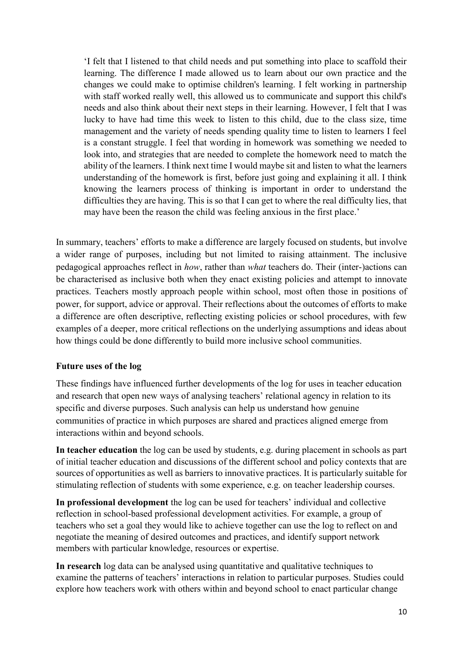'I felt that I listened to that child needs and put something into place to scaffold their learning. The difference I made allowed us to learn about our own practice and the changes we could make to optimise children's learning. I felt working in partnership with staff worked really well, this allowed us to communicate and support this child's needs and also think about their next steps in their learning. However, I felt that I was lucky to have had time this week to listen to this child, due to the class size, time management and the variety of needs spending quality time to listen to learners I feel is a constant struggle. I feel that wording in homework was something we needed to look into, and strategies that are needed to complete the homework need to match the ability of the learners. I think next time I would maybe sit and listen to what the learners understanding of the homework is first, before just going and explaining it all. I think knowing the learners process of thinking is important in order to understand the difficulties they are having. This is so that I can get to where the real difficulty lies, that may have been the reason the child was feeling anxious in the first place.'

In summary, teachers' efforts to make a difference are largely focused on students, but involve a wider range of purposes, including but not limited to raising attainment. The inclusive pedagogical approaches reflect in *how*, rather than *what* teachers do. Their (inter-)actions can be characterised as inclusive both when they enact existing policies and attempt to innovate practices. Teachers mostly approach people within school, most often those in positions of power, for support, advice or approval. Their reflections about the outcomes of efforts to make a difference are often descriptive, reflecting existing policies or school procedures, with few examples of a deeper, more critical reflections on the underlying assumptions and ideas about how things could be done differently to build more inclusive school communities.

#### **Future uses of the log**

These findings have influenced further developments of the log for uses in teacher education and research that open new ways of analysing teachers' relational agency in relation to its specific and diverse purposes. Such analysis can help us understand how genuine communities of practice in which purposes are shared and practices aligned emerge from interactions within and beyond schools.

**In teacher education** the log can be used by students, e.g. during placement in schools as part of initial teacher education and discussions of the different school and policy contexts that are sources of opportunities as well as barriers to innovative practices. It is particularly suitable for stimulating reflection of students with some experience, e.g. on teacher leadership courses.

**In professional development** the log can be used for teachers' individual and collective reflection in school-based professional development activities. For example, a group of teachers who set a goal they would like to achieve together can use the log to reflect on and negotiate the meaning of desired outcomes and practices, and identify support network members with particular knowledge, resources or expertise.

**In research** log data can be analysed using quantitative and qualitative techniques to examine the patterns of teachers' interactions in relation to particular purposes. Studies could explore how teachers work with others within and beyond school to enact particular change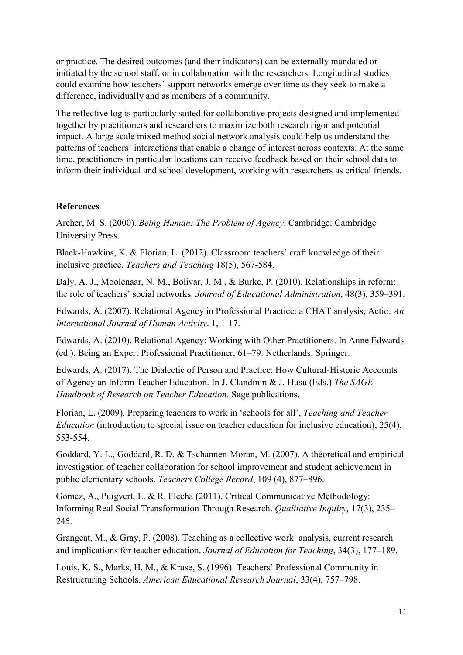or practice. The desired outcomes (and their indicators) can be externally mandated or initiated by the school staff, or in collaboration with the researchers. Longitudinal studies could examine how teachers' support networks emerge over time as they seek to make a difference, individually and as members of a community.

The reflective log is particularly suited for collaborative projects designed and implemented together by practitioners and researchers to maximize both research rigor and potential impact. A large scale mixed method social network analysis could help us understand the patterns of teachers' interactions that enable a change of interest across contexts. At the same time, practitioners in particular locations can receive feedback based on their school data to inform their individual and school development, working with researchers as critical friends.

#### **References**

Archer, M. S. (2000). *Being Human: The Problem of Agency*. Cambridge: Cambridge University Press.

Black-Hawkins, K. & Florian, L. (2012). Classroom teachers' craft knowledge of their inclusive practice. *Teachers and Teaching* 18(5), 567-584.

Daly, A. J., Moolenaar, N. M., Bolivar, J. M., & Burke, P. (2010). Relationships in reform: the role of teachers' social networks. *Journal of Educational Administration*, 48(3), 359–391.

Edwards, A. (2007). Relational Agency in Professional Practice: a CHAT analysis, Actio. *An International Journal of Human Activity*. 1, 1-17.

Edwards, A. (2010). Relational Agency: Working with Other Practitioners. In Anne Edwards (ed.). Being an Expert Professional Practitioner, 61–79. Netherlands: Springer.

Edwards, A. (2017). The Dialectic of Person and Practice: How Cultural-Historic Accounts of Agency an Inform Teacher Education. In J. Clandinin & J. Husu (Eds.) *The SAGE Handbook of Research on Teacher Education.* Sage publications.

Florian, L. (2009). Preparing teachers to work in 'schools for all', *Teaching and Teacher Education* (introduction to special issue on teacher education for inclusive education), 25(4), 553-554.

Goddard, Y. L., Goddard, R. D. & Tschannen-Moran, M. (2007). A theoretical and empirical investigation of teacher collaboration for school improvement and student achievement in public elementary schools. *Teachers College Record*, 109 (4), 877–896.

Gómez, A., Puigvert, L. & R. Flecha (2011). Critical Communicative Methodology: Informing Real Social Transformation Through Research. *Qualitative Inquiry,* 17(3), 235– 245.

Grangeat, M., & Gray, P. (2008). Teaching as a collective work: analysis, current research and implications for teacher education. *Journal of Education for Teaching*, 34(3), 177–189.

Louis, K. S., Marks, H. M., & Kruse, S. (1996). Teachers' Professional Community in Restructuring Schools. *American Educational Research Journal*, 33(4), 757–798.